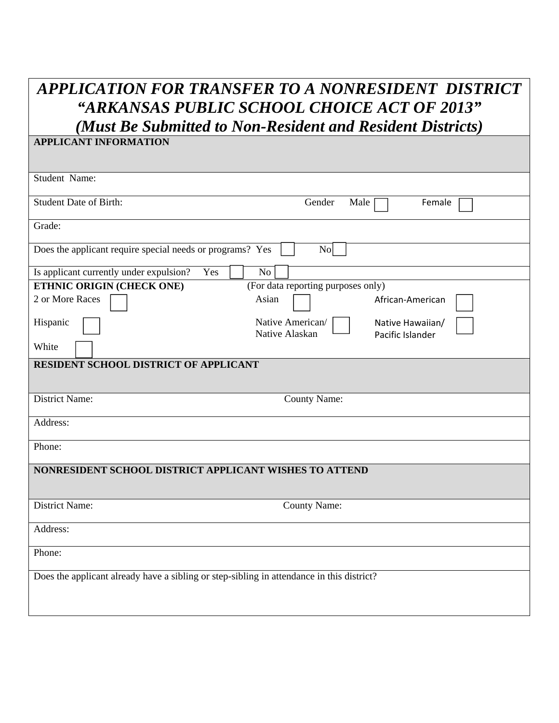## *APPLICATION FOR TRANSFER TO A NONRESIDENT DISTRICT "ARKANSAS PUBLIC SCHOOL CHOICE ACT OF 2013"*

*(Must Be Submitted to Non-Resident and Resident Districts)* **APPLICANT INFORMATION** 

| Student Name:                                                                             |                                                                            |  |  |  |
|-------------------------------------------------------------------------------------------|----------------------------------------------------------------------------|--|--|--|
| <b>Student Date of Birth:</b>                                                             | Gender<br>Male<br>Female                                                   |  |  |  |
| Grade:                                                                                    |                                                                            |  |  |  |
| Does the applicant require special needs or programs? Yes<br>$\overline{N_{O}}$           |                                                                            |  |  |  |
| Is applicant currently under expulsion?<br>Yes                                            | No                                                                         |  |  |  |
| ETHNIC ORIGIN (CHECK ONE)                                                                 | (For data reporting purposes only)                                         |  |  |  |
| 2 or More Races                                                                           | Asian<br>African-American                                                  |  |  |  |
| Hispanic                                                                                  | Native American/<br>Native Hawaiian/<br>Native Alaskan<br>Pacific Islander |  |  |  |
| White                                                                                     |                                                                            |  |  |  |
| RESIDENT SCHOOL DISTRICT OF APPLICANT                                                     |                                                                            |  |  |  |
| District Name:                                                                            | <b>County Name:</b>                                                        |  |  |  |
| Address:                                                                                  |                                                                            |  |  |  |
| Phone:                                                                                    |                                                                            |  |  |  |
| NONRESIDENT SCHOOL DISTRICT APPLICANT WISHES TO ATTEND                                    |                                                                            |  |  |  |
| <b>District Name:</b>                                                                     | <b>County Name:</b>                                                        |  |  |  |
| Address:                                                                                  |                                                                            |  |  |  |
| Phone:                                                                                    |                                                                            |  |  |  |
| Does the applicant already have a sibling or step-sibling in attendance in this district? |                                                                            |  |  |  |